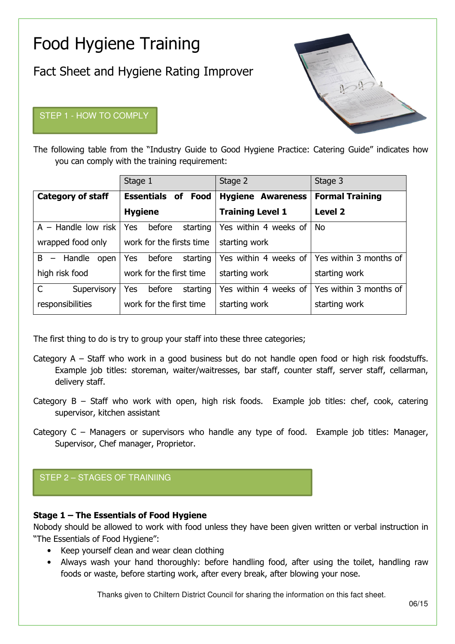# Food Hygiene Training

Fact Sheet and Hygiene Rating Improver

# STEP 1 - HOW TO COMPLY



The following table from the "Industry Guide to Good Hygiene Practice: Catering Guide" indicates how you can comply with the training requirement:

|                             | Stage 1                          | Stage 2                  | Stage 3                |
|-----------------------------|----------------------------------|--------------------------|------------------------|
| <b>Category of staff</b>    | <b>Essentials</b><br>οf<br>Food  | <b>Hygiene Awareness</b> | <b>Formal Training</b> |
|                             | <b>Hygiene</b>                   | <b>Training Level 1</b>  | <b>Level 2</b>         |
| $A -$ Handle low risk       | <b>Yes</b><br>before<br>starting | Yes within 4 weeks of    | <b>No</b>              |
| wrapped food only           | work for the firsts time         | starting work            |                        |
| $B -$<br>Handle<br>open     | <b>Yes</b><br>before<br>starting | Yes within 4 weeks of    | Yes within 3 months of |
| high risk food              | work for the first time          | starting work            | starting work          |
| $\mathsf{C}$<br>Supervisory | Yes<br>before<br>starting        | Yes within 4 weeks of    | Yes within 3 months of |
| responsibilities            | work for the first time          | starting work            | starting work          |

The first thing to do is try to group your staff into these three categories;

- Category A Staff who work in a good business but do not handle open food or high risk foodstuffs. Example job titles: storeman, waiter/waitresses, bar staff, counter staff, server staff, cellarman, delivery staff.
- Category B Staff who work with open, high risk foods. Example job titles: chef, cook, catering supervisor, kitchen assistant
- Category C Managers or supervisors who handle any type of food. Example job titles: Manager, Supervisor, Chef manager, Proprietor.

# STEP 2 – STAGES OF TRAINIING

## Stage 1 – The Essentials of Food Hygiene

Nobody should be allowed to work with food unless they have been given written or verbal instruction in "The Essentials of Food Hygiene":

- Keep yourself clean and wear clean clothing
- Always wash your hand thoroughly: before handling food, after using the toilet, handling raw foods or waste, before starting work, after every break, after blowing your nose.

Thanks given to Chiltern District Council for sharing the information on this fact sheet.